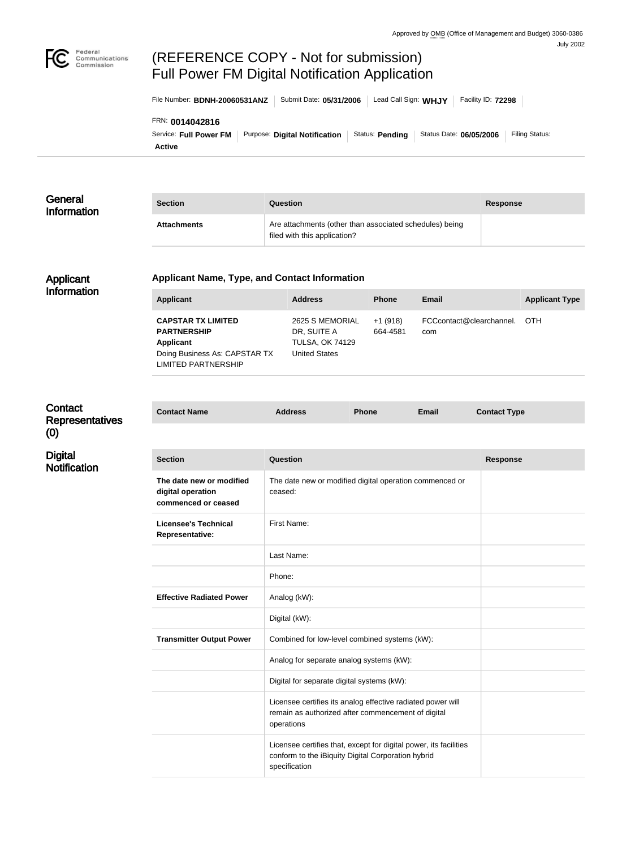

# (REFERENCE COPY - Not for submission) Full Power FM Digital Notification Application

File Number: **BDNH-20060531ANZ** | Submit Date: 05/31/2006 | Lead Call Sign: WHJY | Facility ID: 72298

#### FRN: **0014042816**

**Active** Service: Full Power FM | Purpose: Digital Notification | Status: Pending | Status Date: 06/05/2006 | Filing Status:

| General<br>Information | <b>Section</b>                                                                                                                     | Question                                                                                |                       |                                        | <b>Response</b> |                       |
|------------------------|------------------------------------------------------------------------------------------------------------------------------------|-----------------------------------------------------------------------------------------|-----------------------|----------------------------------------|-----------------|-----------------------|
|                        | <b>Attachments</b>                                                                                                                 | Are attachments (other than associated schedules) being<br>filed with this application? |                       |                                        |                 |                       |
| Applicant              | <b>Applicant Name, Type, and Contact Information</b>                                                                               |                                                                                         |                       |                                        |                 |                       |
| Information            | <b>Applicant</b>                                                                                                                   | <b>Address</b>                                                                          | <b>Phone</b>          | <b>Email</b>                           |                 | <b>Applicant Type</b> |
|                        | <b>CAPSTAR TX LIMITED</b><br><b>PARTNERSHIP</b><br><b>Applicant</b><br>Doing Business As: CAPSTAR TX<br><b>LIMITED PARTNERSHIP</b> | 2625 S MEMORIAL<br>DR, SUITE A<br><b>TULSA, OK 74129</b><br><b>United States</b>        | $+1(918)$<br>664-4581 | FCCcontact@clearchannel.<br>OTH<br>com |                 |                       |

**Contact Name Address Phone Email Contact Type**

### **Contact** Representatives (0)

**Digital** 

**Notification** 

**Section Question Response The date new or modified digital operation commenced or ceased** The date new or modified digital operation commenced or ceased: **Licensee's Technical Representative:** First Name: Last Name: Phone: **Effective Radiated Power** Analog (kW): Digital (kW): **Transmitter Output Power** Combined for low-level combined systems (kW): Analog for separate analog systems (kW): Digital for separate digital systems (kW): Licensee certifies its analog effective radiated power will remain as authorized after commencement of digital operations Licensee certifies that, except for digital power, its facilities conform to the iBiquity Digital Corporation hybrid specification